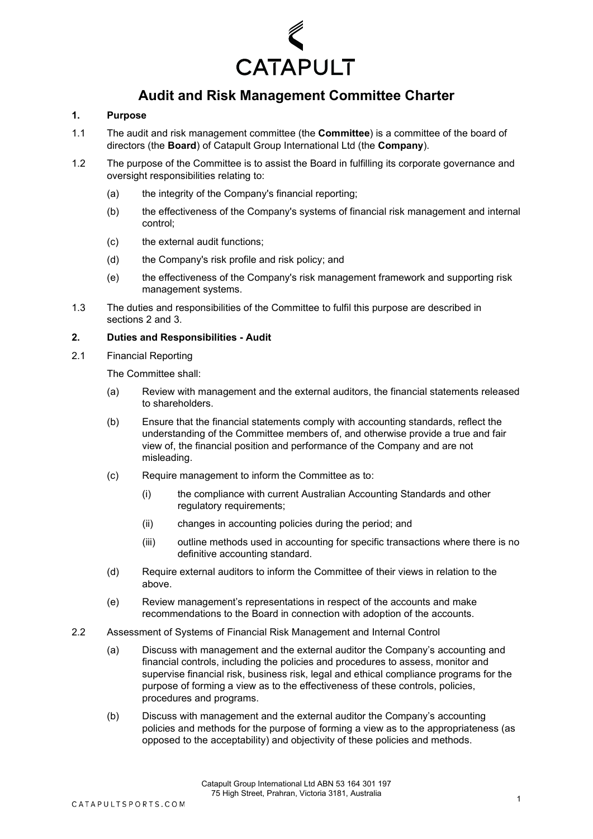

# **Audit and Risk Management Committee Charter**

# **1. Purpose**

- 1.1 The audit and risk management committee (the **Committee**) is a committee of the board of directors (the **Board**) of Catapult Group International Ltd (the **Company**).
- 1.2 The purpose of the Committee is to assist the Board in fulfilling its corporate governance and oversight responsibilities relating to:
	- (a) the integrity of the Company's financial reporting;
	- (b) the effectiveness of the Company's systems of financial risk management and internal control;
	- (c) the external audit functions;
	- (d) the Company's risk profile and risk policy; and
	- (e) the effectiveness of the Company's risk management framework and supporting risk management systems.
- 1.3 The duties and responsibilities of the Committee to fulfil this purpose are described in sections 2 and 3.

## **2. Duties and Responsibilities - Audit**

2.1 Financial Reporting

The Committee shall:

- (a) Review with management and the external auditors, the financial statements released to shareholders.
- (b) Ensure that the financial statements comply with accounting standards, reflect the understanding of the Committee members of, and otherwise provide a true and fair view of, the financial position and performance of the Company and are not misleading.
- (c) Require management to inform the Committee as to:
	- (i) the compliance with current Australian Accounting Standards and other regulatory requirements;
	- (ii) changes in accounting policies during the period; and
	- (iii) outline methods used in accounting for specific transactions where there is no definitive accounting standard.
- (d) Require external auditors to inform the Committee of their views in relation to the above.
- (e) Review management's representations in respect of the accounts and make recommendations to the Board in connection with adoption of the accounts.
- 2.2 Assessment of Systems of Financial Risk Management and Internal Control
	- (a) Discuss with management and the external auditor the Company's accounting and financial controls, including the policies and procedures to assess, monitor and supervise financial risk, business risk, legal and ethical compliance programs for the purpose of forming a view as to the effectiveness of these controls, policies, procedures and programs.
	- (b) Discuss with management and the external auditor the Company's accounting policies and methods for the purpose of forming a view as to the appropriateness (as opposed to the acceptability) and objectivity of these policies and methods.

Catapult Group International Ltd ABN 53 164 301 197 75 High Street, Prahran, Victoria 3181, Australia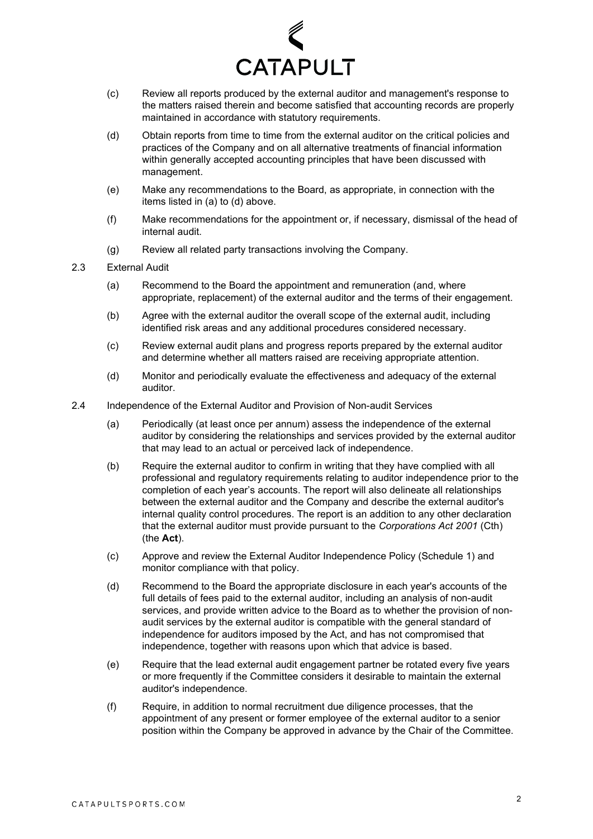

- (c) Review all reports produced by the external auditor and management's response to the matters raised therein and become satisfied that accounting records are properly maintained in accordance with statutory requirements.
- (d) Obtain reports from time to time from the external auditor on the critical policies and practices of the Company and on all alternative treatments of financial information within generally accepted accounting principles that have been discussed with management.
- (e) Make any recommendations to the Board, as appropriate, in connection with the items listed in (a) to (d) above.
- (f) Make recommendations for the appointment or, if necessary, dismissal of the head of internal audit.
- (g) Review all related party transactions involving the Company.
- 2.3 External Audit
	- (a) Recommend to the Board the appointment and remuneration (and, where appropriate, replacement) of the external auditor and the terms of their engagement.
	- (b) Agree with the external auditor the overall scope of the external audit, including identified risk areas and any additional procedures considered necessary.
	- (c) Review external audit plans and progress reports prepared by the external auditor and determine whether all matters raised are receiving appropriate attention.
	- (d) Monitor and periodically evaluate the effectiveness and adequacy of the external auditor.
- 2.4 Independence of the External Auditor and Provision of Non-audit Services
	- (a) Periodically (at least once per annum) assess the independence of the external auditor by considering the relationships and services provided by the external auditor that may lead to an actual or perceived lack of independence.
	- (b) Require the external auditor to confirm in writing that they have complied with all professional and regulatory requirements relating to auditor independence prior to the completion of each year's accounts. The report will also delineate all relationships between the external auditor and the Company and describe the external auditor's internal quality control procedures. The report is an addition to any other declaration that the external auditor must provide pursuant to the *Corporations Act 2001* (Cth) (the **Act**).
	- (c) Approve and review the External Auditor Independence Policy (Schedule 1) and monitor compliance with that policy.
	- (d) Recommend to the Board the appropriate disclosure in each year's accounts of the full details of fees paid to the external auditor, including an analysis of non-audit services, and provide written advice to the Board as to whether the provision of nonaudit services by the external auditor is compatible with the general standard of independence for auditors imposed by the Act, and has not compromised that independence, together with reasons upon which that advice is based.
	- (e) Require that the lead external audit engagement partner be rotated every five years or more frequently if the Committee considers it desirable to maintain the external auditor's independence.
	- (f) Require, in addition to normal recruitment due diligence processes, that the appointment of any present or former employee of the external auditor to a senior position within the Company be approved in advance by the Chair of the Committee.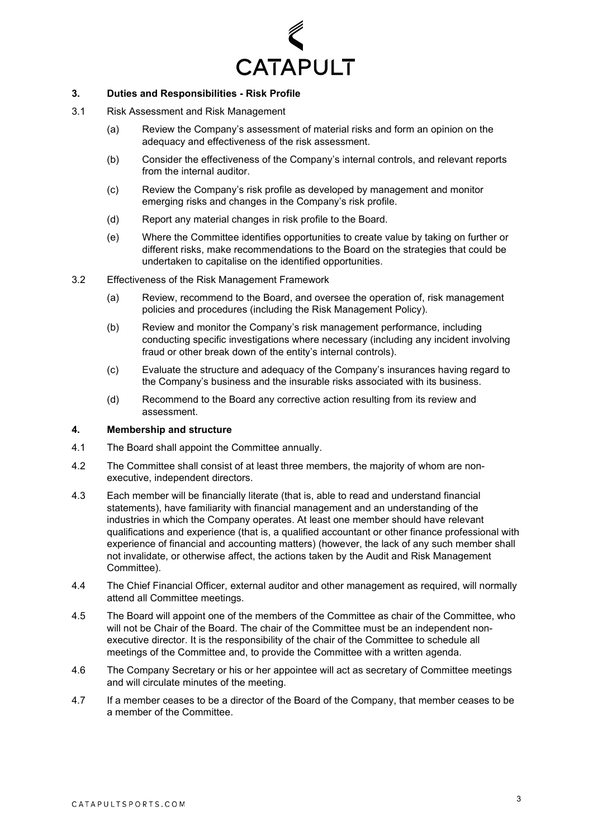

# **3. Duties and Responsibilities - Risk Profile**

- 3.1 Risk Assessment and Risk Management
	- (a) Review the Company's assessment of material risks and form an opinion on the adequacy and effectiveness of the risk assessment.
	- (b) Consider the effectiveness of the Company's internal controls, and relevant reports from the internal auditor.
	- (c) Review the Company's risk profile as developed by management and monitor emerging risks and changes in the Company's risk profile.
	- (d) Report any material changes in risk profile to the Board.
	- (e) Where the Committee identifies opportunities to create value by taking on further or different risks, make recommendations to the Board on the strategies that could be undertaken to capitalise on the identified opportunities.
- 3.2 Effectiveness of the Risk Management Framework
	- (a) Review, recommend to the Board, and oversee the operation of, risk management policies and procedures (including the Risk Management Policy).
	- (b) Review and monitor the Company's risk management performance, including conducting specific investigations where necessary (including any incident involving fraud or other break down of the entity's internal controls).
	- (c) Evaluate the structure and adequacy of the Company's insurances having regard to the Company's business and the insurable risks associated with its business.
	- (d) Recommend to the Board any corrective action resulting from its review and assessment.

## **4. Membership and structure**

- 4.1 The Board shall appoint the Committee annually.
- 4.2 The Committee shall consist of at least three members, the majority of whom are nonexecutive, independent directors.
- 4.3 Each member will be financially literate (that is, able to read and understand financial statements), have familiarity with financial management and an understanding of the industries in which the Company operates. At least one member should have relevant qualifications and experience (that is, a qualified accountant or other finance professional with experience of financial and accounting matters) (however, the lack of any such member shall not invalidate, or otherwise affect, the actions taken by the Audit and Risk Management Committee).
- 4.4 The Chief Financial Officer, external auditor and other management as required, will normally attend all Committee meetings.
- 4.5 The Board will appoint one of the members of the Committee as chair of the Committee, who will not be Chair of the Board. The chair of the Committee must be an independent nonexecutive director. It is the responsibility of the chair of the Committee to schedule all meetings of the Committee and, to provide the Committee with a written agenda.
- 4.6 The Company Secretary or his or her appointee will act as secretary of Committee meetings and will circulate minutes of the meeting.
- 4.7 If a member ceases to be a director of the Board of the Company, that member ceases to be a member of the Committee.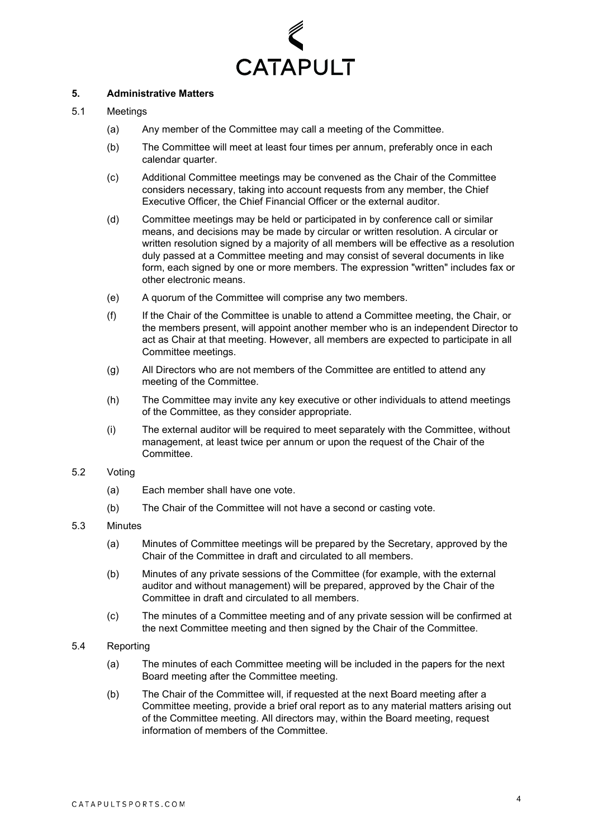

# **5. Administrative Matters**

## 5.1 Meetings

- (a) Any member of the Committee may call a meeting of the Committee.
- (b) The Committee will meet at least four times per annum, preferably once in each calendar quarter.
- (c) Additional Committee meetings may be convened as the Chair of the Committee considers necessary, taking into account requests from any member, the Chief Executive Officer, the Chief Financial Officer or the external auditor.
- (d) Committee meetings may be held or participated in by conference call or similar means, and decisions may be made by circular or written resolution. A circular or written resolution signed by a majority of all members will be effective as a resolution duly passed at a Committee meeting and may consist of several documents in like form, each signed by one or more members. The expression "written" includes fax or other electronic means.
- (e) A quorum of the Committee will comprise any two members.
- (f) If the Chair of the Committee is unable to attend a Committee meeting, the Chair, or the members present, will appoint another member who is an independent Director to act as Chair at that meeting. However, all members are expected to participate in all Committee meetings.
- (g) All Directors who are not members of the Committee are entitled to attend any meeting of the Committee.
- (h) The Committee may invite any key executive or other individuals to attend meetings of the Committee, as they consider appropriate.
- (i) The external auditor will be required to meet separately with the Committee, without management, at least twice per annum or upon the request of the Chair of the Committee.

#### 5.2 Voting

- (a) Each member shall have one vote.
- (b) The Chair of the Committee will not have a second or casting vote.

#### 5.3 Minutes

- (a) Minutes of Committee meetings will be prepared by the Secretary, approved by the Chair of the Committee in draft and circulated to all members.
- (b) Minutes of any private sessions of the Committee (for example, with the external auditor and without management) will be prepared, approved by the Chair of the Committee in draft and circulated to all members.
- (c) The minutes of a Committee meeting and of any private session will be confirmed at the next Committee meeting and then signed by the Chair of the Committee.
- 5.4 Reporting
	- (a) The minutes of each Committee meeting will be included in the papers for the next Board meeting after the Committee meeting.
	- (b) The Chair of the Committee will, if requested at the next Board meeting after a Committee meeting, provide a brief oral report as to any material matters arising out of the Committee meeting. All directors may, within the Board meeting, request information of members of the Committee.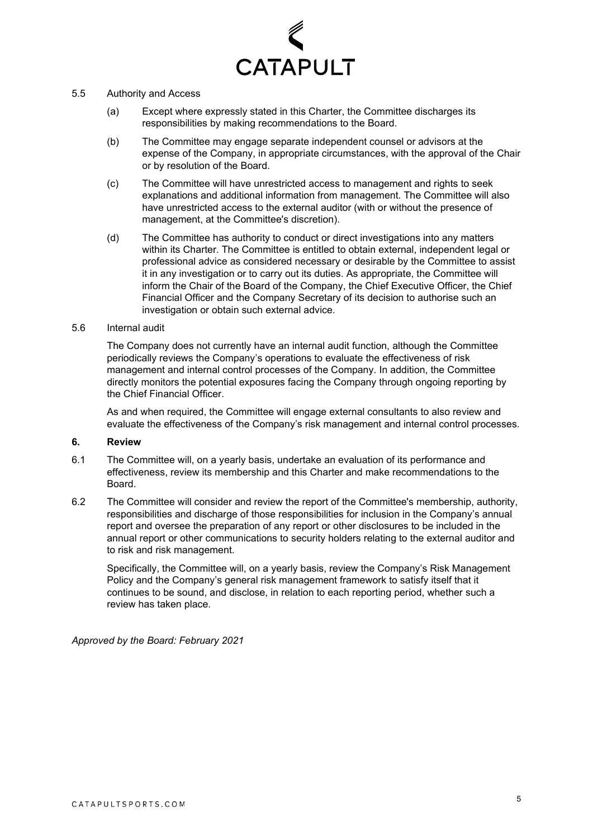

#### 5.5 Authority and Access

- (a) Except where expressly stated in this Charter, the Committee discharges its responsibilities by making recommendations to the Board.
- (b) The Committee may engage separate independent counsel or advisors at the expense of the Company, in appropriate circumstances, with the approval of the Chair or by resolution of the Board.
- (c) The Committee will have unrestricted access to management and rights to seek explanations and additional information from management. The Committee will also have unrestricted access to the external auditor (with or without the presence of management, at the Committee's discretion).
- (d) The Committee has authority to conduct or direct investigations into any matters within its Charter. The Committee is entitled to obtain external, independent legal or professional advice as considered necessary or desirable by the Committee to assist it in any investigation or to carry out its duties. As appropriate, the Committee will inform the Chair of the Board of the Company, the Chief Executive Officer, the Chief Financial Officer and the Company Secretary of its decision to authorise such an investigation or obtain such external advice.

#### 5.6 Internal audit

The Company does not currently have an internal audit function, although the Committee periodically reviews the Company's operations to evaluate the effectiveness of risk management and internal control processes of the Company. In addition, the Committee directly monitors the potential exposures facing the Company through ongoing reporting by the Chief Financial Officer.

As and when required, the Committee will engage external consultants to also review and evaluate the effectiveness of the Company's risk management and internal control processes.

## **6. Review**

- 6.1 The Committee will, on a yearly basis, undertake an evaluation of its performance and effectiveness, review its membership and this Charter and make recommendations to the Board.
- 6.2 The Committee will consider and review the report of the Committee's membership, authority, responsibilities and discharge of those responsibilities for inclusion in the Company's annual report and oversee the preparation of any report or other disclosures to be included in the annual report or other communications to security holders relating to the external auditor and to risk and risk management.

Specifically, the Committee will, on a yearly basis, review the Company's Risk Management Policy and the Company's general risk management framework to satisfy itself that it continues to be sound, and disclose, in relation to each reporting period, whether such a review has taken place.

*Approved by the Board: February 2021*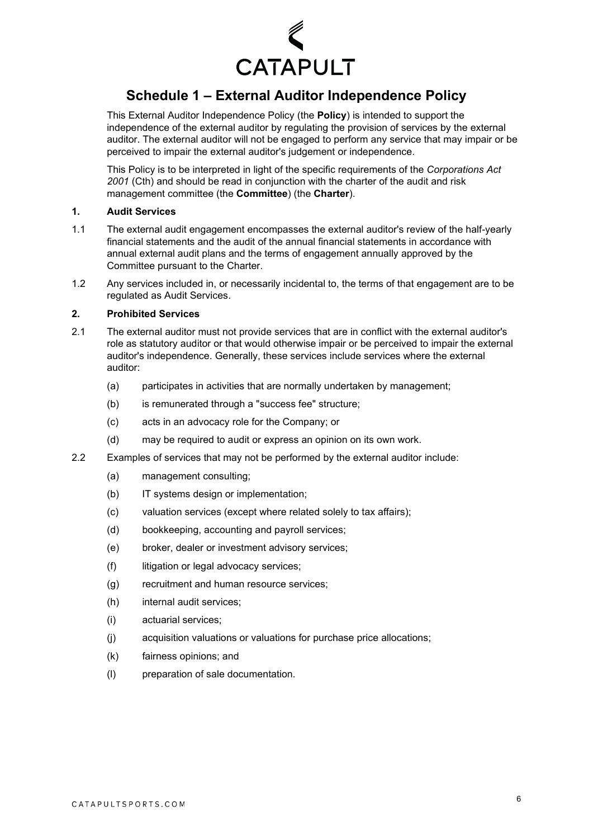

# **Schedule 1 – External Auditor Independence Policy**

This External Auditor Independence Policy (the **Policy**) is intended to support the independence of the external auditor by regulating the provision of services by the external auditor. The external auditor will not be engaged to perform any service that may impair or be perceived to impair the external auditor's judgement or independence.

This Policy is to be interpreted in light of the specific requirements of the *Corporations Act 2001* (Cth) and should be read in conjunction with the charter of the audit and risk management committee (the **Committee**) (the **Charter**).

# **1. Audit Services**

- 1.1 The external audit engagement encompasses the external auditor's review of the half-yearly financial statements and the audit of the annual financial statements in accordance with annual external audit plans and the terms of engagement annually approved by the Committee pursuant to the Charter.
- 1.2 Any services included in, or necessarily incidental to, the terms of that engagement are to be regulated as Audit Services.

## **2. Prohibited Services**

- 2.1 The external auditor must not provide services that are in conflict with the external auditor's role as statutory auditor or that would otherwise impair or be perceived to impair the external auditor's independence. Generally, these services include services where the external auditor:
	- (a) participates in activities that are normally undertaken by management;
	- (b) is remunerated through a "success fee" structure;
	- (c) acts in an advocacy role for the Company; or
	- (d) may be required to audit or express an opinion on its own work.
- 2.2 Examples of services that may not be performed by the external auditor include:
	- (a) management consulting;
	- (b) IT systems design or implementation;
	- (c) valuation services (except where related solely to tax affairs);
	- (d) bookkeeping, accounting and payroll services;
	- (e) broker, dealer or investment advisory services;
	- (f) litigation or legal advocacy services;
	- (g) recruitment and human resource services;
	- (h) internal audit services;
	- (i) actuarial services;
	- (j) acquisition valuations or valuations for purchase price allocations;
	- (k) fairness opinions; and
	- (l) preparation of sale documentation.